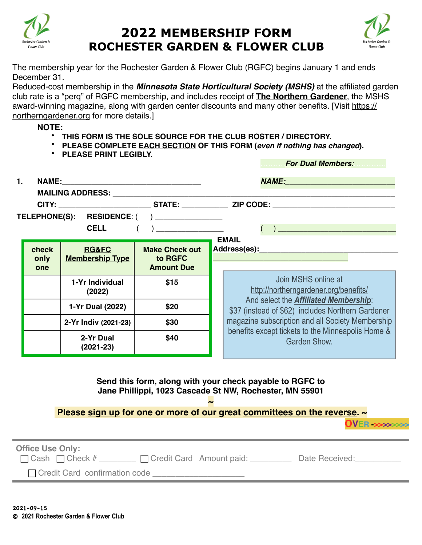

## **2022 MEMBERSHIP FORM ROCHESTER GARDEN & FLOWER CLUB**



The membership year for the Rochester Garden & Flower Club (RGFC) begins January 1 and ends December 31.

Reduced-cost membership in the *Minnesota State Horticultural Society (MSHS)* at the affiliated garden club rate is a "perq" of RGFC membership, and includes receipt of **The Northern Gardener**, the MSHS award-winning magazine, along with garden center discounts and many other benefits. [Visit [https://](https://northerngardener.org) [northerngardener.org](https://northerngardener.org) for more details.]

**NOTE:**

- **THIS FORM IS THE SOLE SOURCE FOR THE CLUB ROSTER / DIRECTORY.**
- **PLEASE COMPLETE EACH SECTION OF THIS FORM (***even if nothing has changed***).**
- **PLEASE PRINT LEGIBLY.**

……….*For Dual Members:*………….

| 1.                                                                                                                                                                                              |                                 |                                            |                                                                            | <u>NAME:__________________________</u>                                                            |  |  |
|-------------------------------------------------------------------------------------------------------------------------------------------------------------------------------------------------|---------------------------------|--------------------------------------------|----------------------------------------------------------------------------|---------------------------------------------------------------------------------------------------|--|--|
|                                                                                                                                                                                                 |                                 |                                            | <b>MAILING ADDRESS:</b> MAILING APPROACHER                                 |                                                                                                   |  |  |
|                                                                                                                                                                                                 |                                 |                                            |                                                                            |                                                                                                   |  |  |
| TELEPHONE(S): RESIDENCE: ( ) ______________                                                                                                                                                     |                                 |                                            |                                                                            |                                                                                                   |  |  |
|                                                                                                                                                                                                 |                                 | <b>CELL</b>                                | $\left(\begin{array}{c} \begin{array}{c} \end{array}\\ \end{array}\right)$ | $\begin{pmatrix} 1 & 1 \\ 1 & 1 \end{pmatrix}$                                                    |  |  |
|                                                                                                                                                                                                 | check<br>only<br>one            | <b>RG&amp;FC</b><br><b>Membership Type</b> | <b>Make Check out</b><br>to RGFC<br><b>Amount Due</b>                      | <b>EMAIL</b>                                                                                      |  |  |
|                                                                                                                                                                                                 |                                 | 1-Yr Individual<br>(2022)                  | \$15                                                                       | Join MSHS online at<br>http://northerngardener.org/benefits/                                      |  |  |
|                                                                                                                                                                                                 |                                 | 1-Yr Dual (2022)                           | \$20                                                                       | And select the <b>Affiliated Membership:</b><br>\$37 (instead of \$62) includes Northern Gardener |  |  |
|                                                                                                                                                                                                 |                                 | 2-Yr Indiv (2021-23)                       | \$30                                                                       | magazine subscription and all Society Membership                                                  |  |  |
|                                                                                                                                                                                                 |                                 | 2-Yr Dual<br>$(2021 - 23)$                 | \$40                                                                       | benefits except tickets to the Minneapolis Home &<br>Garden Show.                                 |  |  |
| Send this form, along with your check payable to RGFC to<br>Jane Phillippi, 1023 Cascade St NW, Rochester, MN 55901<br>Please sign up for one or more of our great committees on the reverse. ~ |                                 |                                            |                                                                            |                                                                                                   |  |  |
| <b>OVER &gt;&gt;&gt;&gt;&gt;&gt;&gt;&gt;</b>                                                                                                                                                    |                                 |                                            |                                                                            |                                                                                                   |  |  |
| <b>Office Use Only:</b><br>□ Cash □ Check # _______ □ Credit Card Amount paid: _________ Date Received: ________                                                                                |                                 |                                            |                                                                            |                                                                                                   |  |  |
|                                                                                                                                                                                                 | □ Credit Card confirmation code |                                            |                                                                            |                                                                                                   |  |  |